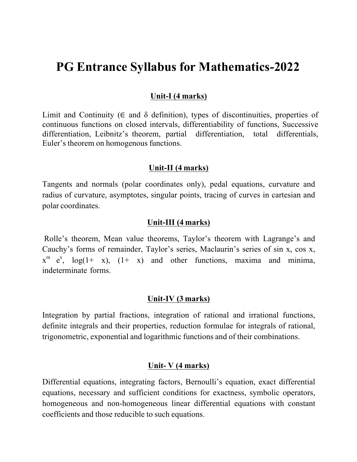# **PG Entrance Syllabus for Mathematics-2022**

#### **Unit-I (4 marks)**

Limit and Continuity ( $\in$  and  $\delta$  definition), types of discontinuities, properties of continuous functions on closed intervals, differentiability of functions, Successive differentiation, Leibnitz's theorem, partial differentiation, total differentials, Euler's theorem on homogenous functions.

#### **Unit-II (4 marks)**

Tangents and normals (polar coordinates only), pedal equations, curvature and radius of curvature, asymptotes, singular points, tracing of curves in cartesian and polar coordinates.

#### **Unit-III (4 marks)**

Rolle's theorem, Mean value theorems, Taylor's theorem with Lagrange's and Cauchy's forms of remainder, Taylor's series, Maclaurin's series of sin x, cos x,  $x^m$  e<sup>x</sup>, log(1+ x), (1+ x) and other functions, maxima and minima, indeterminate forms.

### **Unit-IV (3 marks)**

Integration by partial fractions, integration of rational and irrational functions, definite integrals and their properties, reduction formulae for integrals of rational, trigonometric, exponential and logarithmic functions and of their combinations.

#### **Unit- V (4 marks)**

Differential equations, integrating factors, Bernoulli's equation, exact differential equations, necessary and sufficient conditions for exactness, symbolic operators, homogeneous and non-homogeneous linear differential equations with constant coefficients and those reducible to such equations.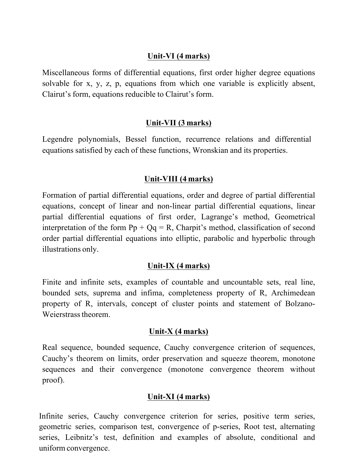#### **Unit-VI (4 marks)**

Miscellaneous forms of differential equations, first order higher degree equations solvable for x, y, z, p, equations from which one variable is explicitly absent, Clairut's form, equations reducible to Clairut's form.

## **Unit-VII (3 marks)**

Legendre polynomials, Bessel function, recurrence relations and differential equations satisfied by each of these functions, Wronskian and its properties.

## **Unit-VIII (4 marks)**

Formation of partial differential equations, order and degree of partial differential equations, concept of linear and non-linear partial differential equations, linear partial differential equations of first order, Lagrange's method, Geometrical interpretation of the form  $Pp + Qq = R$ , Charpit's method, classification of second order partial differential equations into elliptic, parabolic and hyperbolic through illustrations only.

### **Unit-IX (4 marks)**

Finite and infinite sets, examples of countable and uncountable sets, real line, bounded sets, suprema and infima, completeness property of R, Archimedean property of R, intervals, concept of cluster points and statement of Bolzano-Weierstrass theorem.

### **Unit-X (4 marks)**

Real sequence, bounded sequence, Cauchy convergence criterion of sequences, Cauchy's theorem on limits, order preservation and squeeze theorem, monotone sequences and their convergence (monotone convergence theorem without proof).

## **Unit-XI (4 marks)**

Infinite series, Cauchy convergence criterion for series, positive term series, geometric series, comparison test, convergence of p-series, Root test, alternating series, Leibnitz's test, definition and examples of absolute, conditional and uniform convergence.